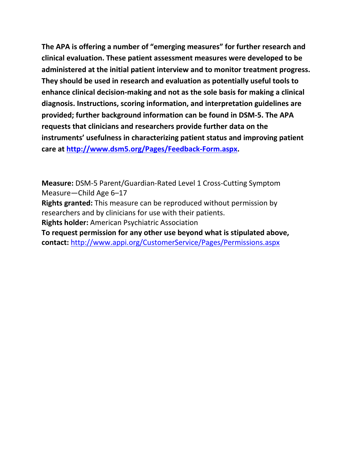**The APA is offering a number of "emerging measures" for further research and clinical evaluation. These patient assessment measures were developed to be administered at the initial patient interview and to monitor treatment progress. They should be used in research and evaluation as potentially useful tools to enhance clinical decision-making and not as the sole basis for making a clinical diagnosis. Instructions, scoring information, and interpretation guidelines are provided; further background information can be found in DSM-5. The APA requests that clinicians and researchers provide further data on the instruments' usefulness in characterizing patient status and improving patient care at [http://www.dsm5.org/Pages/Feedback-Form.aspx.](http://www.dsm5.org/Pages/Feedback-Form.aspx)**

**Measure:** DSM-5 Parent/Guardian-Rated Level 1 Cross-Cutting Symptom Measure—Child Age 6–17

**Rights granted:** This measure can be reproduced without permission by researchers and by clinicians for use with their patients.

**Rights holder:** American Psychiatric Association

**To request permission for any other use beyond what is stipulated above, contact:** <http://www.appi.org/CustomerService/Pages/Permissions.aspx>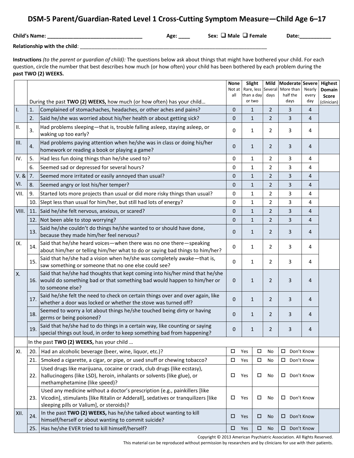# **DSM-5 Parent/Guardian-Rated Level 1 Cross-Cutting Symptom Measure—Child Age 6–17**

**Child's Name: \_\_\_\_\_\_\_\_\_\_\_\_\_\_\_\_\_\_\_\_\_\_\_\_\_\_\_\_\_\_\_\_\_ Age: \_\_\_\_ Sex: Male Female Date:\_\_\_\_\_\_\_\_\_\_\_**

**Relationship with the child**: \_\_\_\_\_\_\_\_\_\_\_\_\_\_\_\_\_\_\_\_\_\_\_\_\_\_\_\_\_\_\_\_\_\_\_\_\_\_\_\_\_\_\_\_\_\_\_\_\_\_\_\_\_\_\_\_\_\_\_\_\_\_\_\_\_

**Instructions** *(to the parent or guardian of child):* The questions below ask about things that might have bothered your child. For each question, circle the number that best describes how much (or how often) your child has been bothered by each problem during the **past TWO (2) WEEKS.**

|       |                                                                                                                                                                                                                   |                                                                                                                                                                                                             | <b>None</b><br>Not at                                   | Slight<br>Rare, less Several             | Mild           | Moderate Severe<br>More than | Nearly       | Highest<br>Domain    |  |  |
|-------|-------------------------------------------------------------------------------------------------------------------------------------------------------------------------------------------------------------------|-------------------------------------------------------------------------------------------------------------------------------------------------------------------------------------------------------------|---------------------------------------------------------|------------------------------------------|----------------|------------------------------|--------------|----------------------|--|--|
|       |                                                                                                                                                                                                                   |                                                                                                                                                                                                             | all                                                     | than a day                               | days           | half the                     | every<br>day | Score<br>(clinician) |  |  |
| 1.    | or two<br>days<br>During the past TWO (2) WEEKS, how much (or how often) has your child<br>Complained of stomachaches, headaches, or other aches and pains?<br>$\mathbf{1}$<br>$\overline{2}$<br>3<br>$\mathbf 0$ |                                                                                                                                                                                                             |                                                         |                                          |                |                              |              |                      |  |  |
|       | 1.<br>2.                                                                                                                                                                                                          | Said he/she was worried about his/her health or about getting sick?                                                                                                                                         | $\mathbf 0$                                             | $\mathbf{1}$                             | $\overline{2}$ | 3                            | 4<br>4       |                      |  |  |
| II.   | 3.                                                                                                                                                                                                                | Had problems sleeping-that is, trouble falling asleep, staying asleep, or<br>waking up too early?                                                                                                           | 0                                                       | 1                                        | $\overline{2}$ | 3                            | 4            |                      |  |  |
| III.  | 4.                                                                                                                                                                                                                | Had problems paying attention when he/she was in class or doing his/her<br>homework or reading a book or playing a game?                                                                                    | $\mathbf 0$                                             | 1                                        | $\overline{2}$ | 3                            | 4            |                      |  |  |
| IV.   | 5.                                                                                                                                                                                                                | Had less fun doing things than he/she used to?                                                                                                                                                              | $\mathbf 0$                                             | $\mathbf{1}$                             | $\overline{2}$ | 3                            | 4            |                      |  |  |
|       | 6.                                                                                                                                                                                                                | Seemed sad or depressed for several hours?                                                                                                                                                                  |                                                         | 1                                        | $\mathbf{2}$   | 3                            | 4            |                      |  |  |
| V. &  | 7.                                                                                                                                                                                                                | Seemed more irritated or easily annoyed than usual?                                                                                                                                                         | 0<br>3<br>$\mathbf 0$<br>$\mathbf{1}$<br>$\overline{2}$ |                                          |                | 4                            |              |                      |  |  |
| VI.   | 8.                                                                                                                                                                                                                | Seemed angry or lost his/her temper?                                                                                                                                                                        | 0                                                       | 3<br>$\mathbf{1}$<br>$\overline{2}$<br>4 |                |                              |              |                      |  |  |
| VII.  | 9.                                                                                                                                                                                                                | Started lots more projects than usual or did more risky things than usual?                                                                                                                                  |                                                         | $\mathbf{1}$                             | $\overline{2}$ | 3                            | 4            |                      |  |  |
|       | 10.                                                                                                                                                                                                               | 0<br>Slept less than usual for him/her, but still had lots of energy?<br>3<br>$\overline{2}$<br>0<br>1                                                                                                      |                                                         | 4                                        |                |                              |              |                      |  |  |
| VIII. | 11                                                                                                                                                                                                                | Said he/she felt nervous, anxious, or scared?                                                                                                                                                               | 3<br>$\mathbf{1}$<br>$\mathbf 0$<br>$\overline{2}$<br>4 |                                          |                |                              |              |                      |  |  |
|       |                                                                                                                                                                                                                   | 12. Not been able to stop worrying?                                                                                                                                                                         | $\mathbf 0$                                             | $\mathbf{1}$                             | $\overline{2}$ | 3                            | 4            |                      |  |  |
|       | 13.                                                                                                                                                                                                               | Said he/she couldn't do things he/she wanted to or should have done,<br>because they made him/her feel nervous?                                                                                             | $\mathbf 0$                                             | 1                                        | $\overline{2}$ | 3                            | 4            |                      |  |  |
| IX.   | 14.                                                                                                                                                                                                               | Said that he/she heard voices-when there was no one there-speaking<br>about him/her or telling him/her what to do or saying bad things to him/her?                                                          | 0                                                       | 1                                        | 2              | 3                            | 4            |                      |  |  |
|       | 15.                                                                                                                                                                                                               | Said that he/she had a vision when he/she was completely awake-that is,<br>saw something or someone that no one else could see?                                                                             | $\Omega$                                                | 1                                        | $\overline{2}$ | 3                            | 4            |                      |  |  |
| X.    |                                                                                                                                                                                                                   | Said that he/she had thoughts that kept coming into his/her mind that he/she<br>16. would do something bad or that something bad would happen to him/her or<br>to someone else?                             | 3<br>2<br>0<br>$\mathbf{1}$                             |                                          |                | 4                            |              |                      |  |  |
|       | 17.                                                                                                                                                                                                               | Said he/she felt the need to check on certain things over and over again, like<br>whether a door was locked or whether the stove was turned off?                                                            | $\mathbf{0}$                                            | 3<br>1<br>2<br>2<br>3<br>1               |                |                              | 4            |                      |  |  |
|       | 18.                                                                                                                                                                                                               | Seemed to worry a lot about things he/she touched being dirty or having<br>germs or being poisoned?                                                                                                         | $\mathbf 0$                                             |                                          |                |                              | 4            |                      |  |  |
|       | 19.                                                                                                                                                                                                               | Said that he/she had to do things in a certain way, like counting or saying<br>$\mathbf 0$<br>1<br>2<br>special things out loud, in order to keep something bad from happening?                             |                                                         | 3                                        | 4              |                              |              |                      |  |  |
|       |                                                                                                                                                                                                                   | In the past TWO (2) WEEKS, has your child                                                                                                                                                                   |                                                         |                                          |                |                              |              |                      |  |  |
| XI.   | 20.                                                                                                                                                                                                               | Had an alcoholic beverage (beer, wine, liquor, etc.)?                                                                                                                                                       | $\Box$                                                  | Yes<br>$\Box$                            | No             | Don't Know                   |              |                      |  |  |
|       | 21.                                                                                                                                                                                                               | Smoked a cigarette, a cigar, or pipe, or used snuff or chewing tobacco?                                                                                                                                     | $\Box$                                                  | Yes<br>$\Box$                            | No             | □                            | Don't Know   |                      |  |  |
|       | 22.                                                                                                                                                                                                               | Used drugs like marijuana, cocaine or crack, club drugs (like ecstasy),<br>hallucinogens (like LSD), heroin, inhalants or solvents (like glue), or<br>methamphetamine (like speed)?                         | $\Box$                                                  | Yes<br>$\Box$<br>No                      |                | $\Box$ Don't Know            |              |                      |  |  |
|       | 23.                                                                                                                                                                                                               | Used any medicine without a doctor's prescription (e.g., painkillers [like<br>Vicodin], stimulants [like Ritalin or Adderall], sedatives or tranquilizers [like<br>sleeping pills or Valium], or steroids)? | □                                                       | Yes<br>□<br>No                           |                | Don't Know<br>$\Box$         |              |                      |  |  |
| XII.  | 24.                                                                                                                                                                                                               | In the past TWO (2) WEEKS, has he/she talked about wanting to kill<br>himself/herself or about wanting to commit suicide?                                                                                   | □                                                       | □<br>Yes                                 | <b>No</b>      | □                            | Don't Know   |                      |  |  |
|       | 25.                                                                                                                                                                                                               | Has he/she EVER tried to kill himself/herself?                                                                                                                                                              | $\Box$                                                  | $\Box$<br>Yes                            | <b>No</b>      | $\square$ Don't Know         |              |                      |  |  |

Copyright © 2013 American Psychiatric Association. All Rights Reserved.

This material can be reproduced without permission by researchers and by clinicians for use with their patients.